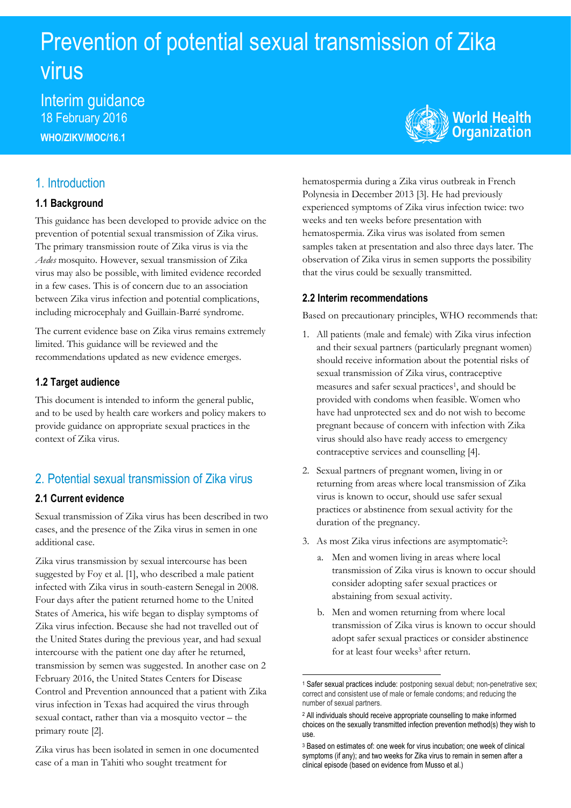# Prevention of potential sexual transmission of Zika virus

Interim guidance 18 February 2016 **WHO/ZIKV/MOC/16.1**



# 1. Introduction

## **1.1 Background**

This guidance has been developed to provide advice on the prevention of potential sexual transmission of Zika virus. The primary transmission route of Zika virus is via the *Aedes* mosquito. However, sexual transmission of Zika virus may also be possible, with limited evidence recorded in a few cases. This is of concern due to an association between Zika virus infection and potential complications, including microcephaly and Guillain-Barré syndrome.

The current evidence base on Zika virus remains extremely limited. This guidance will be reviewed and the recommendations updated as new evidence emerges.

## **1.2 Target audience**

This document is intended to inform the general public, and to be used by health care workers and policy makers to provide guidance on appropriate sexual practices in the context of Zika virus.

# 2. Potential sexual transmission of Zika virus

# **2.1 Current evidence**

Sexual transmission of Zika virus has been described in two cases, and the presence of the Zika virus in semen in one additional case.

Zika virus transmission by sexual intercourse has been suggested by Foy et al. [1], who described a male patient infected with Zika virus in south-eastern Senegal in 2008. Four days after the patient returned home to the United States of America, his wife began to display symptoms of Zika virus infection. Because she had not travelled out of the United States during the previous year, and had sexual intercourse with the patient one day after he returned, transmission by semen was suggested. In another case on 2 February 2016, the United States Centers for Disease Control and Prevention announced that a patient with Zika virus infection in Texas had acquired the virus through sexual contact, rather than via a mosquito vector – the primary route [2].

Zika virus has been isolated in semen in one documented case of a man in Tahiti who sought treatment for

hematospermia during a Zika virus outbreak in French Polynesia in December 2013 [3]. He had previously experienced symptoms of Zika virus infection twice: two weeks and ten weeks before presentation with hematospermia. Zika virus was isolated from semen samples taken at presentation and also three days later. The observation of Zika virus in semen supports the possibility that the virus could be sexually transmitted.

# **2.2 Interim recommendations**

Based on precautionary principles, WHO recommends that:

- 1. All patients (male and female) with Zika virus infection and their sexual partners (particularly pregnant women) should receive information about the potential risks of sexual transmission of Zika virus, contraceptive measures and safer sexual practices<sup>1</sup>, and should be provided with condoms when feasible. Women who have had unprotected sex and do not wish to become pregnant because of concern with infection with Zika virus should also have ready access to emergency contraceptive services and counselling [4].
- 2. Sexual partners of pregnant women, living in or returning from areas where local transmission of Zika virus is known to occur, should use safer sexual practices or abstinence from sexual activity for the duration of the pregnancy.
- 3. As most Zika virus infections are asymptomatic<sup>2</sup> :
	- a. Men and women living in areas where local transmission of Zika virus is known to occur should consider adopting safer sexual practices or abstaining from sexual activity.
	- b. Men and women returning from where local transmission of Zika virus is known to occur should adopt safer sexual practices or consider abstinence for at least four weeks<sup>3</sup> after return.

**.** 

<sup>1</sup> Safer sexual practices include: postponing sexual debut; non-penetrative sex; correct and consistent use of male or female condoms; and reducing the number of sexual partners.

<sup>2</sup> All individuals should receive appropriate counselling to make informed choices on the sexually transmitted infection prevention method(s) they wish to use.

<sup>3</sup> Based on estimates of: one week for virus incubation; one week of clinical symptoms (if any); and two weeks for Zika virus to remain in semen after a clinical episode (based on evidence from Musso et al.)